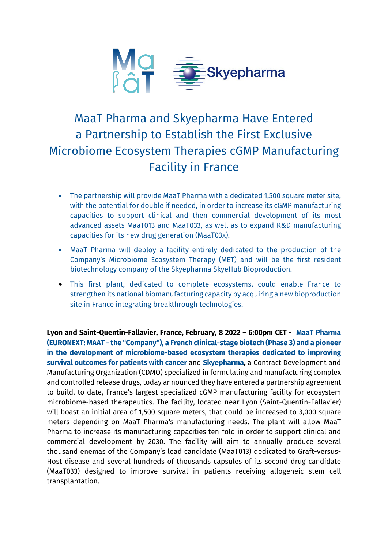

# MaaT Pharma and Skyepharma Have Entered a Partnership to Establish the First Exclusive Microbiome Ecosystem Therapies cGMP Manufacturing Facility in France

- The partnership will provide MaaT Pharma with a dedicated 1,500 square meter site, with the potential for double if needed, in order to increase its cGMP manufacturing capacities to support clinical and then commercial development of its most advanced assets MaaT013 and MaaT033, as well as to expand R&D manufacturing capacities for its new drug generation (MaaT03x).
- MaaT Pharma will deploy a facility entirely dedicated to the production of the Company's Microbiome Ecosystem Therapy (MET) and will be the first resident biotechnology company of the Skyepharma SkyeHub Bioproduction.
- This first plant, dedicated to complete ecosystems, could enable France to strengthen its national biomanufacturing capacity by acquiring a new bioproduction site in France integrating breakthrough technologies.

**Lyon and Saint-Quentin-Fallavier, France, February, 8 2022 – 6:00pm CET - [MaaT Pharma](https://www.maatpharma.com/) (EURONEXT: MAAT - the "Company"), a French clinical-stage biotech (Phase 3) and a pioneer in the development of microbiome-based ecosystem therapies dedicated to improving survival outcomes for patients with cancer** and **[Skyepharma,](https://www.skyepharma.com/)** a Contract Development and Manufacturing Organization (CDMO) specialized in formulating and manufacturing complex and controlled release drugs, today announced they have entered a partnership agreement to build, to date, France's largest specialized cGMP manufacturing facility for ecosystem microbiome-based therapeutics. The facility, located near Lyon (Saint-Quentin-Fallavier) will boast an initial area of 1,500 square meters, that could be increased to 3,000 square meters depending on MaaT Pharma's manufacturing needs. The plant will allow MaaT Pharma to increase its manufacturing capacities ten-fold in order to support clinical and commercial development by 2030. The facility will aim to annually produce several thousand enemas of the Company's lead candidate (MaaT013) dedicated to Graft-versus-Host disease and several hundreds of thousands capsules of its second drug candidate (MaaT033) designed to improve survival in patients receiving allogeneic stem cell transplantation.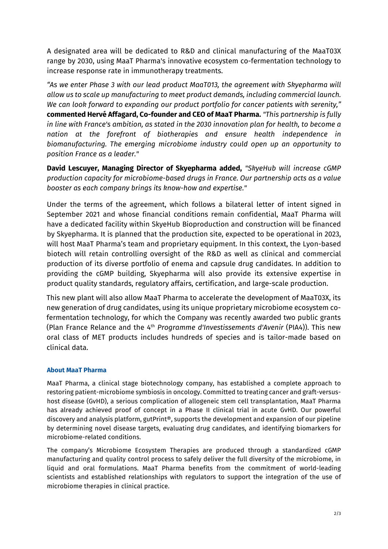A designated area will be dedicated to R&D and clinical manufacturing of the MaaT03X range by 2030, using MaaT Pharma's innovative ecosystem co-fermentation technology to increase response rate in immunotherapy treatments.

*"As we enter Phase 3 with our lead product MaaT013, the agreement with Skyepharma will allow us to scale up manufacturing to meet product demands, including commercial launch. We can look forward to expanding our product portfolio for cancer patients with serenity,"* **commented Hervé Affagard, Co-founder and CEO of MaaT Pharma.** *"This partnership is fully in line with France's ambition, as stated in the 2030 innovation plan for health, to become a nation at the forefront of biotherapies and ensure health independence in biomanufacturing. The emerging microbiome industry could open up an opportunity to position France as a leader."* 

**David Lescuyer, Managing Director of Skyepharma added,** *"SkyeHub will increase cGMP production capacity for microbiome-based drugs in France. Our partnership acts as a value booster as each company brings its know-how and expertise."*

Under the terms of the agreement, which follows a bilateral letter of intent signed in September 2021 and whose financial conditions remain confidential, MaaT Pharma will have a dedicated facility within SkyeHub Bioproduction and construction will be financed by Skyepharma. It is planned that the production site, expected to be operational in 2023, will host MaaT Pharma's team and proprietary equipment. In this context, the Lyon-based biotech will retain controlling oversight of the R&D as well as clinical and commercial production of its diverse portfolio of enema and capsule drug candidates. In addition to providing the cGMP building, Skyepharma will also provide its extensive expertise in product quality standards, regulatory affairs, certification, and large-scale production.

This new plant will also allow MaaT Pharma to accelerate the development of MaaT03X, its new generation of drug candidates, using its unique proprietary microbiome ecosystem cofermentation technology, for which the Company was recently awarded two public grants (Plan France Relance and the 4th *Programme d'Investissements d'Avenir* (PIA4)). This new oral class of MET products includes hundreds of species and is tailor-made based on clinical data.

# **About MaaT Pharma**

MaaT Pharma, a clinical stage biotechnology company, has established a complete approach to restoring patient-microbiome symbiosis in oncology. Committed to treating cancer and graft-versushost disease (GvHD), a serious complication of allogeneic stem cell transplantation, MaaT Pharma has already achieved proof of concept in a Phase II clinical trial in acute GvHD. Our powerful discovery and analysis platform, gutPrint®, supports the development and expansion of our pipeline by determining novel disease targets, evaluating drug candidates, and identifying biomarkers for microbiome-related conditions.

The company's Microbiome Ecosystem Therapies are produced through a standardized cGMP manufacturing and quality control process to safely deliver the full diversity of the microbiome, in liquid and oral formulations. MaaT Pharma benefits from the commitment of world-leading scientists and established relationships with regulators to support the integration of the use of microbiome therapies in clinical practice.